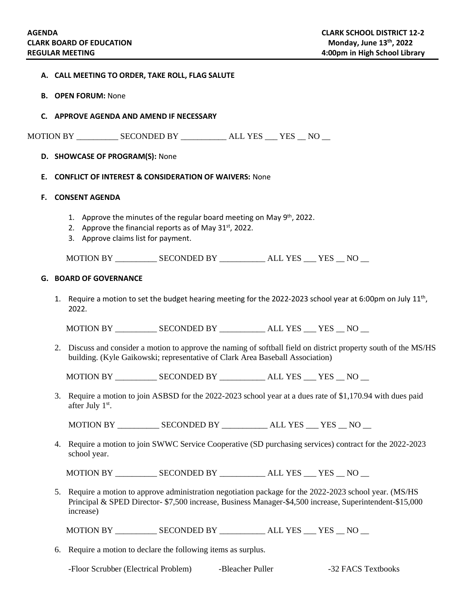|  |  |  |  |  | A. CALL MEETING TO ORDER, TAKE ROLL, FLAG SALUTE |
|--|--|--|--|--|--------------------------------------------------|
|--|--|--|--|--|--------------------------------------------------|

- **B. OPEN FORUM:** None
- **C. APPROVE AGENDA AND AMEND IF NECESSARY**

MOTION BY \_\_\_\_\_\_\_\_\_\_ SECONDED BY \_\_\_\_\_\_\_\_\_\_\_ ALL YES \_\_\_ YES \_\_ NO \_\_

## **D. SHOWCASE OF PROGRAM(S):** None

#### **E. CONFLICT OF INTEREST & CONSIDERATION OF WAIVERS:** None

#### **F. CONSENT AGENDA**

- 1. Approve the minutes of the regular board meeting on May 9<sup>th</sup>, 2022.
- 2. Approve the financial reports as of May  $31<sup>st</sup>$ , 2022.
- 3. Approve claims list for payment.

MOTION BY \_\_\_\_\_\_\_\_\_\_ SECONDED BY \_\_\_\_\_\_\_\_\_\_\_ ALL YES \_\_\_ YES \_\_ NO \_\_

#### **G. BOARD OF GOVERNANCE**

1. Require a motion to set the budget hearing meeting for the 2022-2023 school year at 6:00pm on July  $11^{th}$ , 2022.

MOTION BY \_\_\_\_\_\_\_\_\_\_ SECONDED BY \_\_\_\_\_\_\_\_\_\_\_ ALL YES \_\_\_ YES \_\_ NO \_\_

2. Discuss and consider a motion to approve the naming of softball field on district property south of the MS/HS building. (Kyle Gaikowski; representative of Clark Area Baseball Association)

MOTION BY \_\_\_\_\_\_\_\_\_\_\_\_ SECONDED BY \_\_\_\_\_\_\_\_\_\_\_\_ ALL YES \_\_\_ YES \_\_ NO \_\_

3. Require a motion to join ASBSD for the 2022-2023 school year at a dues rate of \$1,170.94 with dues paid after July 1<sup>st</sup>.

MOTION BY \_\_\_\_\_\_\_\_\_\_ SECONDED BY \_\_\_\_\_\_\_\_\_\_\_ ALL YES \_\_\_ YES \_\_ NO \_\_

4. Require a motion to join SWWC Service Cooperative (SD purchasing services) contract for the 2022-2023 school year.

MOTION BY \_\_\_\_\_\_\_\_\_\_\_\_ SECONDED BY \_\_\_\_\_\_\_\_\_\_\_\_ ALL YES \_\_\_ YES \_\_ NO \_\_\_

5. Require a motion to approve administration negotiation package for the 2022-2023 school year. (MS/HS Principal & SPED Director- \$7,500 increase, Business Manager-\$4,500 increase, Superintendent-\$15,000 increase)

MOTION BY \_\_\_\_\_\_\_\_\_\_\_\_ SECONDED BY \_\_\_\_\_\_\_\_\_\_\_ ALL YES \_\_\_ YES \_\_ NO \_\_\_

6. Require a motion to declare the following items as surplus.

-Floor Scrubber (Electrical Problem) -Bleacher Puller -32 FACS Textbooks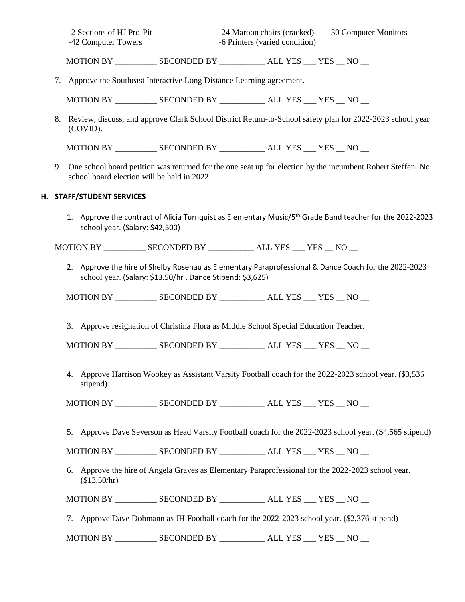| -2 Sections of HJ Pro-Pit | -24 Maroon chairs (cracked)    | -30 Computer Monitors |
|---------------------------|--------------------------------|-----------------------|
| -42 Computer Towers       | -6 Printers (varied condition) |                       |

MOTION BY \_\_\_\_\_\_\_\_\_\_ SECONDED BY \_\_\_\_\_\_\_\_\_\_\_ ALL YES \_\_\_ YES \_\_ NO \_\_

7. Approve the Southeast Interactive Long Distance Learning agreement.

MOTION BY \_\_\_\_\_\_\_\_\_\_ SECONDED BY \_\_\_\_\_\_\_\_\_\_\_ ALL YES \_\_\_ YES \_\_ NO \_\_

8. Review, discuss, and approve Clark School District Return-to-School safety plan for 2022-2023 school year (COVID).

MOTION BY \_\_\_\_\_\_\_\_\_\_ SECONDED BY \_\_\_\_\_\_\_\_\_\_\_ ALL YES \_\_\_ YES \_\_ NO \_\_

9. One school board petition was returned for the one seat up for election by the incumbent Robert Steffen. No school board election will be held in 2022.

## **H. STAFF/STUDENT SERVICES**

1. Approve the contract of Alicia Turnquist as Elementary Music/5th Grade Band teacher for the 2022-2023 school year. (Salary: \$42,500)

MOTION BY \_\_\_\_\_\_\_\_\_\_ SECONDED BY \_\_\_\_\_\_\_\_\_\_\_ ALL YES \_\_\_ YES \_\_ NO \_\_

2. Approve the hire of Shelby Rosenau as Elementary Paraprofessional & Dance Coach for the 2022-2023 school year. (Salary: \$13.50/hr , Dance Stipend: \$3,625)

MOTION BY \_\_\_\_\_\_\_\_\_\_\_\_ SECONDED BY \_\_\_\_\_\_\_\_\_\_\_\_ ALL YES \_\_\_ YES \_\_ NO \_\_\_

3. Approve resignation of Christina Flora as Middle School Special Education Teacher.

MOTION BY \_\_\_\_\_\_\_\_\_\_ SECONDED BY \_\_\_\_\_\_\_\_\_\_\_ ALL YES \_\_\_ YES \_\_ NO \_\_

4. Approve Harrison Wookey as Assistant Varsity Football coach for the 2022-2023 school year. (\$3,536 stipend)

MOTION BY \_\_\_\_\_\_\_\_\_\_ SECONDED BY \_\_\_\_\_\_\_\_\_\_\_ ALL YES \_\_\_ YES \_\_ NO \_\_

5. Approve Dave Severson as Head Varsity Football coach for the 2022-2023 school year. (\$4,565 stipend)

MOTION BY \_\_\_\_\_\_\_\_\_\_\_\_ SECONDED BY \_\_\_\_\_\_\_\_\_\_\_\_ ALL YES \_\_\_ YES \_\_ NO \_\_\_

6. Approve the hire of Angela Graves as Elementary Paraprofessional for the 2022-2023 school year. (\$13.50/hr)

MOTION BY \_\_\_\_\_\_\_\_\_\_\_\_\_ SECONDED BY \_\_\_\_\_\_\_\_\_\_\_\_\_ ALL YES \_\_\_ YES \_\_ NO \_\_

7. Approve Dave Dohmann as JH Football coach for the 2022-2023 school year. (\$2,376 stipend)

MOTION BY \_\_\_\_\_\_\_\_\_\_ SECONDED BY \_\_\_\_\_\_\_\_\_\_\_ ALL YES \_\_\_ YES \_\_ NO \_\_